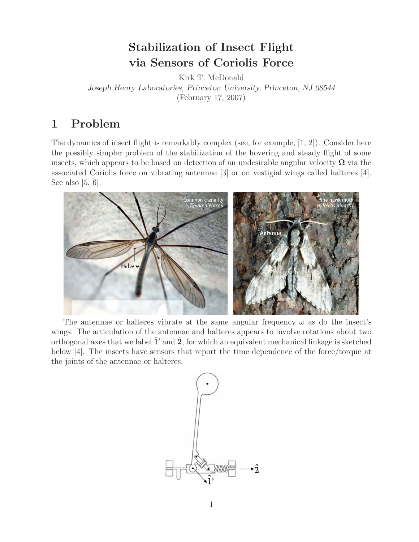# **Stabilization of Insect Flight via Sensors of Coriolis Force**

Kirk T. McDonald *Joseph Henry Laboratories, Princeton University, Princeton, NJ 08544* (February 17, 2007)

# **1 Problem**

The dynamics of insect flight is remarkably complex (see, for example, [1, 2]). Consider here the possibly simpler problem of the stabilization of the hovering and steady flight of some insects, which appears to be based on detection of an undesirable angular velocity  $\Omega$  via the associated Coriolis force on vibrating antennae [3] or on vestigial wings called halteres [4]. See also  $[5, 6]$ .



The antennae or halteres vibrate at the same angular frequency  $\omega$  as do the insect's wings. The articulation of the antennae and halteres appears to involve rotations about two orthogonal axes that we label  $\hat{\mathbf{1}}'$  and  $\hat{\mathbf{2}}$ , for which an equivalent mechanical linkage is sketched below [4]. The insects have sensors that report the time dependence of the force/torque at the joints of the antennae or halteres.

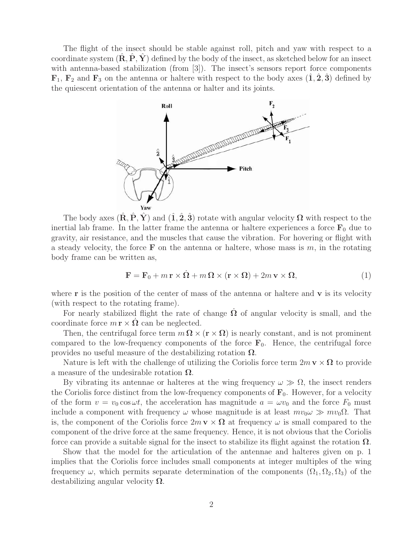The flight of the insect should be stable against roll, pitch and yaw with respect to a coordinate system  $(\mathbf{R}, \mathbf{P}, \mathbf{Y})$  defined by the body of the insect, as sketched below for an insect with antenna-based stabilization (from [3]). The insect's sensors report force components  $\mathbf{F}_1$ ,  $\mathbf{F}_2$  and  $\mathbf{F}_3$  on the antenna or haltere with respect to the body axes  $(1, 2, 3)$  defined by the quiescent orientation of the antenna or halter and its joints.



The body axes  $(\mathbf{R}, \mathbf{P}, \mathbf{Y})$  and  $(\hat{\mathbf{1}}, \hat{\mathbf{2}}, \hat{\mathbf{3}})$  rotate with angular velocity  $\Omega$  with respect to the inertial lab frame. In the latter frame the antenna or haltere experiences a force  $\mathbf{F}_0$  due to gravity, air resistance, and the muscles that cause the vibration. For hovering or flight with a steady velocity, the force **F** on the antenna or haltere, whose mass is  $m$ , in the rotating body frame can be written as,

$$
\mathbf{F} = \mathbf{F}_0 + m\,\mathbf{r} \times \dot{\Omega} + m\,\Omega \times (\mathbf{r} \times \Omega) + 2m\,\mathbf{v} \times \Omega,\tag{1}
$$

where **r** is the position of the center of mass of the antenna or haltere and **v** is its velocity (with respect to the rotating frame).

For nearly stabilized flight the rate of change  $\Omega$  of angular velocity is small, and the coordinate force  $m \mathbf{r} \times \mathbf{\Omega}$  can be neglected.

Then, the centrifugal force term  $m \Omega \times (\mathbf{r} \times \Omega)$  is nearly constant, and is not prominent compared to the low-frequency components of the force  $\mathbf{F}_0$ . Hence, the centrifugal force provides no useful measure of the destabilizing rotation **Ω**.

Nature is left with the challenge of utilizing the Coriolis force term  $2m \mathbf{v} \times \mathbf{\Omega}$  to provide a measure of the undesirable rotation **Ω**.

By vibrating its antennae or halteres at the wing frequency  $\omega \gg \Omega$ , the insect renders the Coriolis force distinct from the low-frequency components of  $\mathbf{F}_0$ . However, for a velocity of the form  $v = v_0 \cos \omega t$ , the acceleration has magnitude  $a = \omega v_0$  and the force  $F_0$  must include a component with frequency  $\omega$  whose magnitude is at least  $mv_0\omega \gg mv_0\Omega$ . That is, the component of the Coriolis force  $2m \mathbf{v} \times \mathbf{\Omega}$  at frequency  $\omega$  is small compared to the component of the drive force at the same frequency. Hence, it is not obvious that the Coriolis force can provide a suitable signal for the insect to stabilize its flight against the rotation **Ω**.

Show that the model for the articulation of the antennae and halteres given on p. 1 implies that the Coriolis force includes small components at integer multiples of the wing frequency  $\omega$ , which permits separate determination of the components  $(\Omega_1, \Omega_2, \Omega_3)$  of the destabilizing angular velocity **Ω**.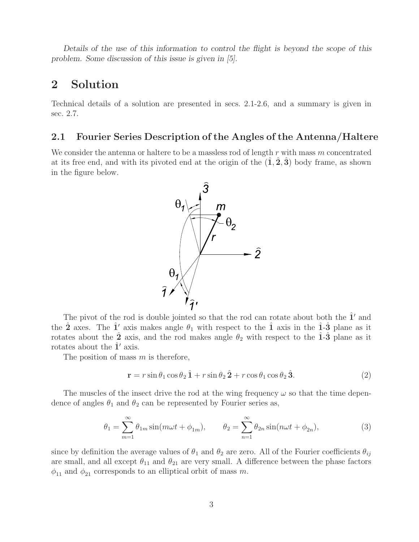*Details of the use of this information to control the flight is beyond the scope of this problem. Some discussion of this issue is given in [5].*

## **2 Solution**

Technical details of a solution are presented in secs. 2.1-2.6, and a summary is given in sec. 2.7.

### **2.1 Fourier Series Description of the Angles of the Antenna/Haltere**

We consider the antenna or haltere to be a massless rod of length  $r$  with mass  $m$  concentrated at its free end, and with its pivoted end at the origin of the  $(1, 2, 3)$  body frame, as shown in the figure below.



The pivot of the rod is double jointed so that the rod can rotate about both the  $\hat{1}'$  and the  $\hat{\mathbf{2}}$  axes. The  $\hat{\mathbf{1}}'$  axis makes angle  $\theta_1$  with respect to the  $\hat{\mathbf{1}}$  axis in the  $\hat{\mathbf{1}}$ - $\hat{\mathbf{3}}$  plane as it rotates about the  $\hat{2}$  axis, and the rod makes angle  $\theta_2$  with respect to the  $\hat{1}$ - $\hat{3}$ <sup>n</sup> plane as it rotates about the  $\hat{1}'$  axis.

The position of mass  $m$  is therefore,

$$
\mathbf{r} = r\sin\theta_1\cos\theta_2\,\hat{1} + r\sin\theta_2\,\hat{2} + r\cos\theta_1\cos\theta_2\,\hat{3}.\tag{2}
$$

The muscles of the insect drive the rod at the wing frequency  $\omega$  so that the time dependence of angles  $\theta_1$  and  $\theta_2$  can be represented by Fourier series as,

$$
\theta_1 = \sum_{m=1}^{\infty} \theta_{1m} \sin(m\omega t + \phi_{1m}), \qquad \theta_2 = \sum_{n=1}^{\infty} \theta_{2n} \sin(n\omega t + \phi_{2n}), \tag{3}
$$

since by definition the average values of  $\theta_1$  and  $\theta_2$  are zero. All of the Fourier coefficients  $\theta_{ij}$ are small, and all except  $\theta_{11}$  and  $\theta_{21}$  are very small. A difference between the phase factors  $\phi_{11}$  and  $\phi_{21}$  corresponds to an elliptical orbit of mass m.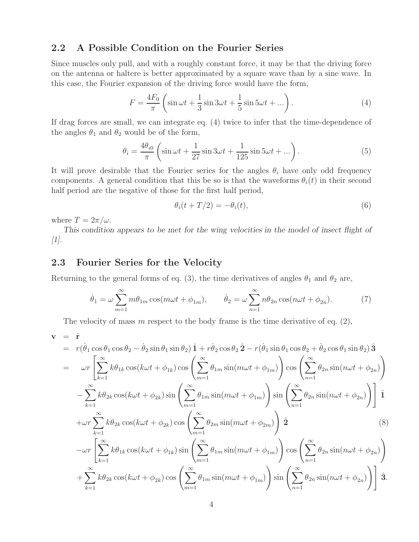#### **2.2 A Possible Condition on the Fourier Series**

Since muscles only pull, and with a roughly constant force, it may be that the driving force on the antenna or haltere is better approximated by a square wave than by a sine wave. In this case, the Fourier expansion of the driving force would have the form,

$$
F = \frac{4F_0}{\pi} \left( \sin \omega t + \frac{1}{3} \sin 3\omega t + \frac{1}{5} \sin 5\omega t + \dots \right). \tag{4}
$$

If drag forces are small, we can integrate eq. (4) twice to infer that the time-dependence of the angles  $\theta_1$  and  $\theta_2$  would be of the form,

$$
\theta_i = \frac{4\theta_{i0}}{\pi} \left( \sin \omega t + \frac{1}{27} \sin 3\omega t + \frac{1}{125} \sin 5\omega t + \dots \right). \tag{5}
$$

It will prove desirable that the Fourier series for the angles  $\theta_i$  have only odd frequency components. A general condition that this be so is that the waveforms  $\theta_i(t)$  in their second half period are the negative of those for the first half period,

$$
\theta_i(t+T/2) = -\theta_i(t),\tag{6}
$$

where  $T = 2\pi/\omega$ .

*This condition appears to be met for the wing velocities in the model of insect flight of [1].*

### **2.3 Fourier Series for the Velocity**

Returning to the general forms of eq. (3), the time derivatives of angles  $\theta_1$  and  $\theta_2$  are,

$$
\dot{\theta}_1 = \omega \sum_{m=1}^{\infty} m \theta_{1m} \cos(m\omega t + \phi_{1m}), \qquad \dot{\theta}_2 = \omega \sum_{n=1}^{\infty} n \theta_{2n} \cos(n\omega t + \phi_{2n}). \tag{7}
$$

The velocity of mass m respect to the body frame is the time derivative of eq.  $(2)$ ,

$$
\mathbf{v} = \dot{\mathbf{r}}
$$
\n
$$
= r(\dot{\theta}_1 \cos \theta_1 \cos \theta_2 - \dot{\theta}_2 \sin \theta_1 \sin \theta_2) \hat{\mathbf{1}} + r\dot{\theta}_2 \cos \theta_2 \hat{\mathbf{2}} - r(\dot{\theta}_1 \sin \theta_1 \cos \theta_2 + \dot{\theta}_2 \cos \theta_1 \sin \theta_2) \hat{\mathbf{3}}
$$
\n
$$
= \omega r \left[ \sum_{k=1}^{\infty} k \theta_{1k} \cos(k\omega t + \phi_{1k}) \cos \left( \sum_{m=1}^{\infty} \theta_{1m} \sin(m\omega t + \phi_{1m}) \right) \cos \left( \sum_{n=1}^{\infty} \theta_{2n} \sin(n\omega t + \phi_{2n}) \right) \right]
$$
\n
$$
- \sum_{k=1}^{\infty} k \theta_{2k} \cos(k\omega t + \phi_{2k}) \sin \left( \sum_{m=1}^{\infty} \theta_{1m} \sin(m\omega t + \phi_{1m}) \right) \sin \left( \sum_{n=1}^{\infty} \theta_{2n} \sin(n\omega t + \phi_{2n}) \right) \hat{\mathbf{1}} + \omega r \sum_{k=1}^{\infty} k \theta_{2k} \cos(k\omega t + \phi_{2k}) \cos \left( \sum_{m=1}^{\infty} \theta_{2m} \sin(m\omega t + \phi_{2m}) \right) \hat{\mathbf{2}} \tag{8}
$$
\n
$$
- \omega r \left[ \sum_{k=1}^{\infty} k \theta_{1k} \cos(k\omega t + \phi_{1k}) \sin \left( \sum_{m=1}^{\infty} \theta_{1m} \sin(m\omega t + \phi_{1m}) \right) \cos \left( \sum_{n=1}^{\infty} \theta_{2n} \sin(n\omega t + \phi_{2n}) \right) \right]
$$
\n
$$
+ \sum_{k=1}^{\infty} k \theta_{2k} \cos(k\omega t + \phi_{2k}) \cos \left( \sum_{m=1}^{\infty} \theta_{1m} \sin(m\omega t + \phi_{1m}) \right) \sin \left( \sum_{n=1}^{\infty} \theta_{2n} \sin(n\omega t + \phi_{2n}) \right) \hat{\mathbf{3}}.
$$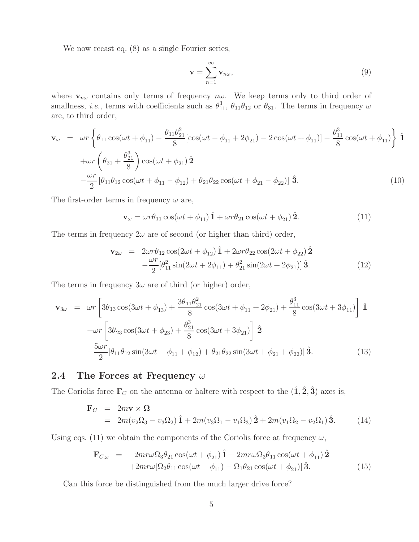We now recast eq. (8) as a single Fourier series,

$$
\mathbf{v} = \sum_{n=1}^{\infty} \mathbf{v}_{n\omega},\tag{9}
$$

where  $\mathbf{v}_{n\omega}$  contains only terms of frequency  $n\omega$ . We keep terms only to third order of smallness, *i.e.*, terms with coefficients such as  $\theta_{11}^3$ ,  $\theta_{11}\theta_{12}$  or  $\theta_{31}$ . The terms in frequency  $\omega$ are, to third order,

$$
\mathbf{v}_{\omega} = \omega r \left\{ \theta_{11} \cos(\omega t + \phi_{11}) - \frac{\theta_{11} \theta_{21}^2}{8} [\cos(\omega t - \phi_{11} + 2\phi_{21}) - 2\cos(\omega t + \phi_{11})] - \frac{\theta_{11}^3}{8} \cos(\omega t + \phi_{11}) \right\} \hat{\mathbf{1}} + \omega r \left( \theta_{21} + \frac{\theta_{21}^3}{8} \right) \cos(\omega t + \phi_{21}) \hat{\mathbf{2}} - \frac{\omega r}{2} [\theta_{11} \theta_{12} \cos(\omega t + \phi_{11} - \phi_{12}) + \theta_{21} \theta_{22} \cos(\omega t + \phi_{21} - \phi_{22})] \hat{\mathbf{3}}.
$$
\n(10)

The first-order terms in frequency  $\omega$  are,

$$
\mathbf{v}_{\omega} = \omega r \theta_{11} \cos(\omega t + \phi_{11}) \hat{\mathbf{1}} + \omega r \theta_{21} \cos(\omega t + \phi_{21}) \hat{\mathbf{2}}.
$$
 (11)

The terms in frequency  $2\omega$  are of second (or higher than third) order,

$$
\mathbf{v}_{2\omega} = 2\omega r \theta_{12} \cos(2\omega t + \phi_{12}) \hat{\mathbf{1}} + 2\omega r \theta_{22} \cos(2\omega t + \phi_{22}) \hat{\mathbf{2}} -\frac{\omega r}{2} [\theta_{11}^2 \sin(2\omega t + 2\phi_{11}) + \theta_{21}^2 \sin(2\omega t + 2\phi_{21})] \hat{\mathbf{3}}.
$$
 (12)

The terms in frequency  $3\omega$  are of third (or higher) order,

$$
\mathbf{v}_{3\omega} = \omega r \left[ 3\theta_{13} \cos(3\omega t + \phi_{13}) + \frac{3\theta_{11}\theta_{21}^2}{8} \cos(3\omega t + \phi_{11} + 2\phi_{21}) + \frac{\theta_{11}^3}{8} \cos(3\omega t + 3\phi_{11}) \right] \hat{\mathbf{1}}
$$
  
+ 
$$
\omega r \left[ 3\theta_{23} \cos(3\omega t + \phi_{23}) + \frac{\theta_{21}^3}{8} \cos(3\omega t + 3\phi_{21}) \right] \hat{\mathbf{2}}
$$
  
- 
$$
\frac{5\omega r}{2} [\theta_{11}\theta_{12} \sin(3\omega t + \phi_{11} + \phi_{12}) + \theta_{21}\theta_{22} \sin(3\omega t + \phi_{21} + \phi_{22})] \hat{\mathbf{3}}.
$$
 (13)

### **2.4 The Forces at Frequency** ω

The Coriolis force  $\mathbf{F}_C$  on the antenna or haltere with respect to the  $(\hat{\mathbf{1}}, \hat{\mathbf{2}}, \hat{\mathbf{3}})$  axes is,

$$
\mathbf{F}_C = 2m\mathbf{v} \times \mathbf{\Omega}
$$
  
=  $2m(v_2\Omega_3 - v_3\Omega_2)\hat{\mathbf{1}} + 2m(v_3\Omega_1 - v_1\Omega_3)\hat{\mathbf{2}} + 2m(v_1\Omega_2 - v_2\Omega_1)\hat{\mathbf{3}}.$  (14)

Using eqs. (11) we obtain the components of the Coriolis force at frequency  $\omega$ ,

$$
\mathbf{F}_{C,\omega} = 2mr\omega\Omega_3\theta_{21}\cos(\omega t + \phi_{21})\hat{\mathbf{1}} - 2mr\omega\Omega_3\theta_{11}\cos(\omega t + \phi_{11})\hat{\mathbf{2}} \n+2mr\omega[\Omega_2\theta_{11}\cos(\omega t + \phi_{11}) - \Omega_1\theta_{21}\cos(\omega t + \phi_{21})]\hat{\mathbf{3}}.
$$
\n(15)

Can this force be distinguished from the much larger drive force?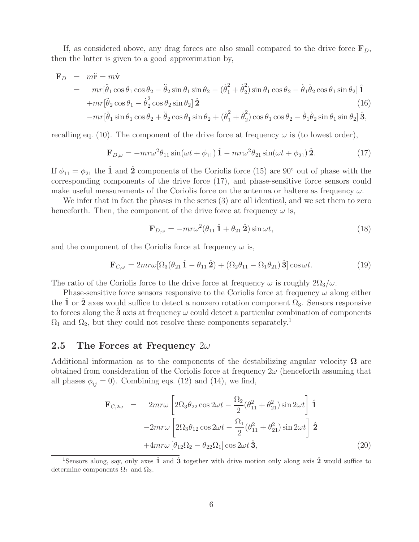If, as considered above, any drag forces are also small compared to the drive force  $\mathbf{F}_D$ , then the latter is given to a good approximation by,

$$
\mathbf{F}_D = m\ddot{\mathbf{r}} = m\dot{\mathbf{v}}
$$
  
=  $mr[\ddot{\theta}_1 \cos \theta_1 \cos \theta_2 - \ddot{\theta}_2 \sin \theta_1 \sin \theta_2 - (\dot{\theta}_1^2 + \dot{\theta}_2^2) \sin \theta_1 \cos \theta_2 - \dot{\theta}_1 \dot{\theta}_2 \cos \theta_1 \sin \theta_2]$   
+  $mr[\ddot{\theta}_2 \cos \theta_1 - \dot{\theta}_2^2 \cos \theta_2 \sin \theta_2]$   
-  $mr[\ddot{\theta}_1 \sin \theta_1 \cos \theta_2 + \ddot{\theta}_2 \cos \theta_1 \sin \theta_2 + (\dot{\theta}_1^2 + \dot{\theta}_2^2) \cos \theta_1 \cos \theta_2 - \dot{\theta}_1 \dot{\theta}_2 \sin \theta_1 \sin \theta_2]$   
3, (16)

recalling eq. (10). The component of the drive force at frequency  $\omega$  is (to lowest order),

$$
\mathbf{F}_{D,\omega} = -mr\omega^2\theta_{11}\sin(\omega t + \phi_{11})\hat{\mathbf{1}} - mr\omega^2\theta_{21}\sin(\omega t + \phi_{21})\hat{\mathbf{2}}.
$$
 (17)

If  $\phi_{11} = \phi_{21}$  the  $\hat{\mathbf{1}}$  and  $\hat{\mathbf{2}}$  components of the Coriolis force (15) are 90° out of phase with the corresponding components of the drive force (17), and phase-sensitive force sensors could make useful measurements of the Coriolis force on the antenna or haltere as frequency  $\omega$ .

We infer that in fact the phases in the series (3) are all identical, and we set them to zero henceforth. Then, the component of the drive force at frequency  $\omega$  is,

$$
\mathbf{F}_{D,\omega} = -mr\omega^2(\theta_{11}\,\hat{\mathbf{1}} + \theta_{21}\,\hat{\mathbf{2}})\sin\omega t,\tag{18}
$$

and the component of the Coriolis force at frequency  $\omega$  is,

$$
\mathbf{F}_{C,\omega} = 2mr\omega[\Omega_3(\theta_{21}\hat{\mathbf{1}} - \theta_{11}\hat{\mathbf{2}}) + (\Omega_2\theta_{11} - \Omega_1\theta_{21})\hat{\mathbf{3}}]\cos\omega t.
$$
 (19)

The ratio of the Coriolis force to the drive force at frequency  $\omega$  is roughly  $2\Omega_3/\omega$ .

Phase-sensitive force sensors responsive to the Coriolis force at frequency  $\omega$  along either the **1** or **2** axes would suffice to detect a nonzero rotation component  $\Omega_3$ . Sensors responsive to forces along the  $\hat{3}$  axis at frequency  $\omega$  could detect a particular combination of components  $\Omega_1$  and  $\Omega_2$ , but they could not resolve these components separately.<sup>1</sup>

#### **2.5 The Forces at Frequency** 2ω

Additional information as to the components of the destabilizing angular velocity  $\Omega$  are obtained from consideration of the Coriolis force at frequency  $2\omega$  (henceforth assuming that all phases  $\phi_{ij} = 0$ . Combining eqs. (12) and (14), we find,

$$
\mathbf{F}_{C,2\omega} = 2mr\omega \left[ 2\Omega_3 \theta_{22} \cos 2\omega t - \frac{\Omega_2}{2} (\theta_{11}^2 + \theta_{21}^2) \sin 2\omega t \right] \hat{\mathbf{1}}
$$

$$
-2mr\omega \left[ 2\Omega_3 \theta_{12} \cos 2\omega t - \frac{\Omega_1}{2} (\theta_{11}^2 + \theta_{21}^2) \sin 2\omega t \right] \hat{\mathbf{2}}
$$

$$
+4mr\omega \left[ \theta_{12} \Omega_2 - \theta_{22} \Omega_1 \right] \cos 2\omega t \hat{\mathbf{3}}, \tag{20}
$$

<sup>1</sup>Sensors along, say, only axes **1**ˆ and **3**ˆ together with drive motion only along axis **2**ˆ would suffice to determine components  $\Omega_1$  and  $\Omega_3$ .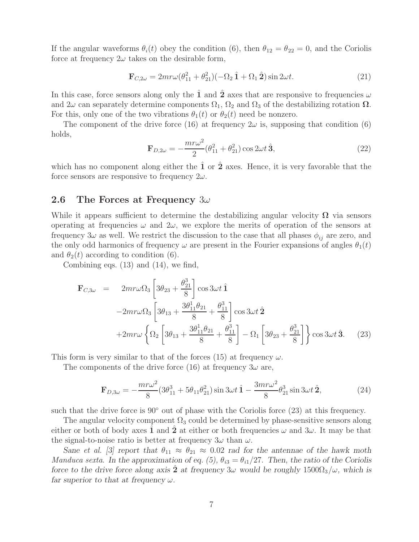If the angular waveforms  $\theta_i(t)$  obey the condition (6), then  $\theta_{12} = \theta_{22} = 0$ , and the Coriolis force at frequency  $2\omega$  takes on the desirable form,

$$
\mathbf{F}_{C,2\omega} = 2mr\omega(\theta_{11}^2 + \theta_{21}^2)(-\Omega_2 \hat{\mathbf{1}} + \Omega_1 \hat{\mathbf{2}})\sin 2\omega t.
$$
 (21)

In this case, force sensors along only the  $\hat{1}$  and  $\hat{2}$  axes that are responsive to frequencies  $\omega$ and  $2\omega$  can separately determine components  $\Omega_1$ ,  $\Omega_2$  and  $\Omega_3$  of the destabilizing rotation  $\Omega$ . For this, only one of the two vibrations  $\theta_1(t)$  or  $\theta_2(t)$  need be nonzero.

The component of the drive force (16) at frequency  $2\omega$  is, supposing that condition (6) holds,

$$
\mathbf{F}_{D,2\omega} = -\frac{mr\omega^2}{2}(\theta_{11}^2 + \theta_{21}^2)\cos 2\omega t \,\hat{\mathbf{3}},\tag{22}
$$

which has no component along either the  $\hat{1}$  or  $\hat{2}$  axes. Hence, it is very favorable that the force sensors are responsive to frequency  $2\omega$ .

#### **2.6 The Forces at Frequency** 3ω

While it appears sufficient to determine the destabilizing angular velocity  $\Omega$  via sensors operating at frequencies  $\omega$  and  $2\omega$ , we explore the merits of operation of the sensors at frequency 3ω as well. We restrict the discussion to the case that all phases  $\phi_{ij}$  are zero, and the only odd harmonics of frequency  $\omega$  are present in the Fourier expansions of angles  $\theta_1(t)$ and  $\theta_2(t)$  according to condition (6).

Combining eqs. (13) and (14), we find,

$$
\mathbf{F}_{C,3\omega} = 2mr\omega\Omega_3 \left[ 3\theta_{23} + \frac{\theta_{21}^3}{8} \right] \cos 3\omega t \hat{\mathbf{1}} \n-2mr\omega\Omega_3 \left[ 3\theta_{13} + \frac{3\theta_{11}^1 \theta_{21}}{8} + \frac{\theta_{11}^3}{8} \right] \cos 3\omega t \hat{\mathbf{2}} \n+2mr\omega \left\{ \Omega_2 \left[ 3\theta_{13} + \frac{3\theta_{11}^1 \theta_{21}}{8} + \frac{\theta_{11}^3}{8} \right] - \Omega_1 \left[ 3\theta_{23} + \frac{\theta_{21}^3}{8} \right] \right\} \cos 3\omega t \hat{\mathbf{3}}.
$$
\n(23)

This form is very similar to that of the forces (15) at frequency  $\omega$ .

The components of the drive force (16) at frequency  $3\omega$  are,

$$
\mathbf{F}_{D,3\omega} = -\frac{mr\omega^2}{8}(3\theta_{11}^3 + 5\theta_{11}\theta_{21}^2)\sin 3\omega t \,\hat{\mathbf{1}} - \frac{3mr\omega^2}{8}\theta_{21}^3\sin 3\omega t \,\hat{\mathbf{2}},\tag{24}
$$

such that the drive force is  $90°$  out of phase with the Coriolis force (23) at this frequency.

The angular velocity component  $\Omega_3$  could be determined by phase-sensitive sensors along either or both of body axes 1 and 2 at either or both frequencies  $\omega$  and  $3\omega$ . It may be that the signal-to-noise ratio is better at frequency  $3\omega$  than  $\omega$ .

*Sane et al.* [3] report that  $\theta_{11} \approx \theta_{21} \approx 0.02$  *rad for the antennae of the hawk moth Manduca sexta.* In the approximation of eq. (5),  $\theta_{i3} = \theta_{i1}/27$ . Then, the ratio of the Coriolis *force to the drive force along axis*  $\hat{2}$  *at frequency* 3ω *would be roughly* 1500 $\Omega$ <sub>3</sub>/ω, which is *far superior to that at frequency* ω*.*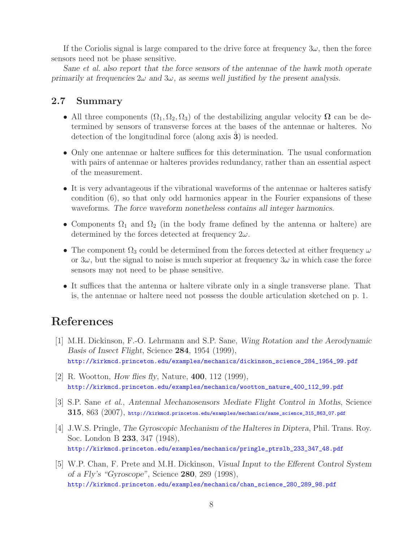If the Coriolis signal is large compared to the drive force at frequency  $3\omega$ , then the force sensors need not be phase sensitive.

*Sane et al. also report that the force sensors of the antennae of the hawk moth operate primarily at frequencies*  $2\omega$  *and*  $3\omega$ *, as seems well justified by the present analysis.* 

#### **2.7 Summary**

- All three components  $(\Omega_1, \Omega_2, \Omega_3)$  of the destabilizing angular velocity  $\Omega$  can be determined by sensors of transverse forces at the bases of the antennae or halteres. No detection of the longitudinal force (along axis **3**) is needed.
- Only one antennae or haltere suffices for this determination. The usual conformation with pairs of antennae or halteres provides redundancy, rather than an essential aspect of the measurement.
- It is very advantageous if the vibrational waveforms of the antennae or halteres satisfy condition (6), so that only odd harmonics appear in the Fourier expansions of these waveforms. *The force waveform nonetheless contains all integer harmonics.*
- Components  $\Omega_1$  and  $\Omega_2$  (in the body frame defined by the antenna or haltere) are determined by the forces detected at frequency  $2\omega$ .
- The component  $\Omega_3$  could be determined from the forces detected at either frequency  $\omega$ or  $3\omega$ , but the signal to noise is much superior at frequency  $3\omega$  in which case the force sensors may not need to be phase sensitive.
- It suffices that the antenna or haltere vibrate only in a single transverse plane. That is, the antennae or haltere need not possess the double articulation sketched on p. 1.

## **References**

- [1] M.H. Dickinson, F.-O. Lehrmann and S.P. Sane, *Wing Rotation and the Aerodynamic Basis of Insect Flight*, Science **284**, 1954 (1999), http://kirkmcd.princeton.edu/examples/mechanics/dickinson\_science\_284\_1954\_99.pdf
- [2] R. Wootton, *How flies fly*, Nature, **400**, 112 (1999), http://kirkmcd.princeton.edu/examples/mechanics/wootton\_nature\_400\_112\_99.pdf
- [3] S.P. Sane *et al.*, *Antennal Mechanosensors Mediate Flight Control in Moths*, Science **315**, 863 (2007), http://kirkmcd.princeton.edu/examples/mechanics/sane\_science\_315\_863\_07.pdf
- [4] J.W.S. Pringle, *The Gyroscopic Mechanism of the Halteres in Diptera*, Phil. Trans. Roy. Soc. London B **233**, 347 (1948), http://kirkmcd.princeton.edu/examples/mechanics/pringle\_ptrslb\_233\_347\_48.pdf
- [5] W.P. Chan, F. Prete and M.H. Dickinson, *Visual Input to the Efferent Control System of a Fly's "Gyroscope"*, Science **280**, 289 (1998), http://kirkmcd.princeton.edu/examples/mechanics/chan\_science\_280\_289\_98.pdf